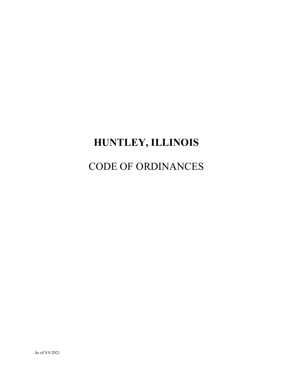# **HUNTLEY, ILLINOIS**

# CODE OF ORDINANCES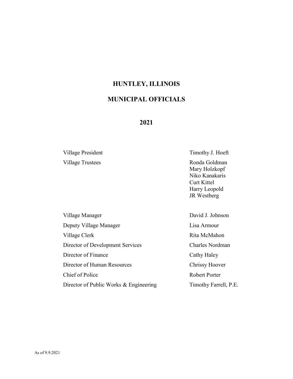### **HUNTLEY, ILLINOIS**

# **MUNICIPAL OFFICIALS**

#### **2021**

Village Trustees Ronda Goldman

Village President Timothy J. Hoeft

Mary Holzkopf Niko Kanakaris Curt Kittel Harry Leopold JR Westberg

Village Manager David J. Johnson Deputy Village Manager **Lisa Armour** Village Clerk **Rita McMahon** Director of Development Services Charles Nordman Director of Finance Cathy Haley Director of Human Resources Chrissy Hoover Chief of Police Robert Porter Director of Public Works & Engineering Timothy Farrell, P.E.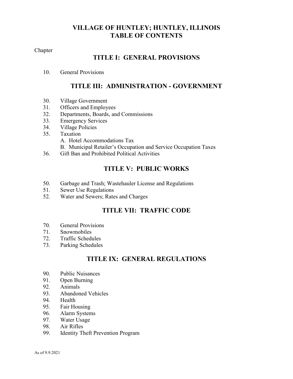### **VILLAGE OF HUNTLEY; HUNTLEY, ILLINOIS TABLE OF CONTENTS**

Chapter

# **TITLE I: GENERAL PROVISIONS**

10. General Provisions

# **TITLE III: ADMINISTRATION - GOVERNMENT**

- 30. Village Government
- 31. Officers and Employees
- 32. Departments, Boards, and Commissions
- 33. Emergency Services
- 34. Village Policies
- 35. Taxation
	- A. Hotel Accommodations Tax
	- B. Municipal Retailer's Occupation and Service Occupation Taxes
- 36. Gift Ban and Prohibited Political Activities

### **TITLE V: PUBLIC WORKS**

- 50. Garbage and Trash; Wastehauler License and Regulations
- 51. Sewer Use Regulations
- 52. Water and Sewers; Rates and Charges

## **TITLE VII: TRAFFIC CODE**

- 70. General Provisions
- 71. Snowmobiles
- 72. Traffic Schedules
- 73. Parking Schedules

# **TITLE IX: GENERAL REGULATIONS**

- 90. Public Nuisances
- 91. Open Burning
- 92. Animals
- 93. Abandoned Vehicles
- 94. Health
- 95. Fair Housing
- 96. Alarm Systems
- 97. Water Usage
- 98. Air Rifles
- 99. Identity Theft Prevention Program